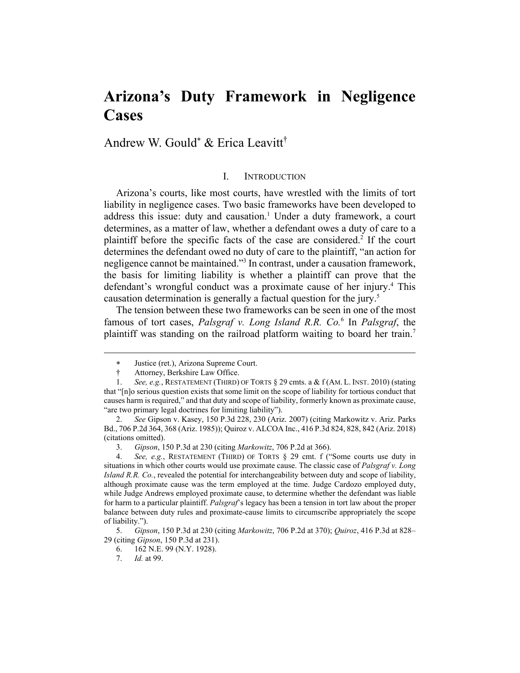# **Arizona's Duty Framework in Negligence Cases**

Andrew W. Gould & Erica Leavitt†

## I. INTRODUCTION

Arizona's courts, like most courts, have wrestled with the limits of tort liability in negligence cases. Two basic frameworks have been developed to address this issue: duty and causation.<sup>1</sup> Under a duty framework, a court determines, as a matter of law, whether a defendant owes a duty of care to a plaintiff before the specific facts of the case are considered.<sup>2</sup> If the court determines the defendant owed no duty of care to the plaintiff, "an action for negligence cannot be maintained."3 In contrast, under a causation framework, the basis for limiting liability is whether a plaintiff can prove that the defendant's wrongful conduct was a proximate cause of her injury.<sup>4</sup> This causation determination is generally a factual question for the jury.<sup>5</sup>

The tension between these two frameworks can be seen in one of the most famous of tort cases, *Palsgraf v. Long Island R.R. Co.*<sup>6</sup> In *Palsgraf*, the plaintiff was standing on the railroad platform waiting to board her train.<sup>7</sup>

Justice (ret.), Arizona Supreme Court.

Attorney, Berkshire Law Office.

 <sup>1.</sup> *See, e.g.*, RESTATEMENT (THIRD) OF TORTS § 29 cmts. a & f (AM. L. INST. 2010) (stating that "[n]o serious question exists that some limit on the scope of liability for tortious conduct that causes harm is required," and that duty and scope of liability, formerly known as proximate cause, "are two primary legal doctrines for limiting liability").

 <sup>2.</sup> *See* Gipson v. Kasey, 150 P.3d 228, 230 (Ariz. 2007) (citing Markowitz v. Ariz. Parks Bd., 706 P.2d 364, 368 (Ariz. 1985)); Quiroz v. ALCOA Inc., 416 P.3d 824, 828, 842 (Ariz. 2018) (citations omitted).

 <sup>3.</sup> *Gipson*, 150 P.3d at 230 (citing *Markowitz*, 706 P.2d at 366).

 <sup>4.</sup> *See, e.g.*, RESTATEMENT (THIRD) OF TORTS § 29 cmt. f ("Some courts use duty in situations in which other courts would use proximate cause. The classic case of *Palsgraf v. Long Island R.R. Co.*, revealed the potential for interchangeability between duty and scope of liability, although proximate cause was the term employed at the time. Judge Cardozo employed duty, while Judge Andrews employed proximate cause, to determine whether the defendant was liable for harm to a particular plaintiff. *Palsgraf*'s legacy has been a tension in tort law about the proper balance between duty rules and proximate-cause limits to circumscribe appropriately the scope of liability.").

 <sup>5.</sup> *Gipson*, 150 P.3d at 230 (citing *Markowitz*, 706 P.2d at 370); *Quiroz*, 416 P.3d at 828– 29 (citing *Gipson*, 150 P.3d at 231).

 <sup>6. 162</sup> N.E. 99 (N.Y. 1928).

 <sup>7.</sup> *Id.* at 99.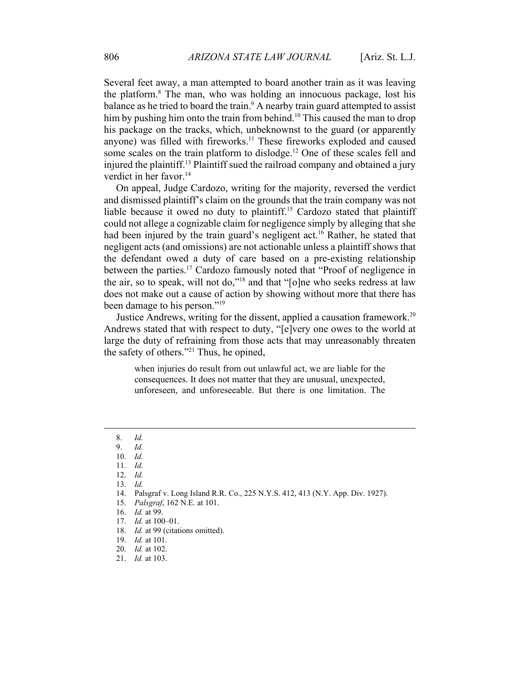Several feet away, a man attempted to board another train as it was leaving the platform.<sup>8</sup> The man, who was holding an innocuous package, lost his balance as he tried to board the train. $9$  A nearby train guard attempted to assist him by pushing him onto the train from behind.<sup>10</sup> This caused the man to drop his package on the tracks, which, unbeknownst to the guard (or apparently anyone) was filled with fireworks.<sup>11</sup> These fireworks exploded and caused some scales on the train platform to dislodge.<sup>12</sup> One of these scales fell and injured the plaintiff.13 Plaintiff sued the railroad company and obtained a jury verdict in her favor. $14$ 

On appeal, Judge Cardozo, writing for the majority, reversed the verdict and dismissed plaintiff's claim on the grounds that the train company was not liable because it owed no duty to plaintiff.<sup>15</sup> Cardozo stated that plaintiff could not allege a cognizable claim for negligence simply by alleging that she had been injured by the train guard's negligent act.<sup>16</sup> Rather, he stated that negligent acts (and omissions) are not actionable unless a plaintiff shows that the defendant owed a duty of care based on a pre-existing relationship between the parties.<sup>17</sup> Cardozo famously noted that "Proof of negligence in the air, so to speak, will not do,"18 and that "[o]ne who seeks redress at law does not make out a cause of action by showing without more that there has been damage to his person."<sup>19</sup>

Justice Andrews, writing for the dissent, applied a causation framework.<sup>20</sup> Andrews stated that with respect to duty, "[e]very one owes to the world at large the duty of refraining from those acts that may unreasonably threaten the safety of others."21 Thus, he opined,

when injuries do result from out unlawful act, we are liable for the consequences. It does not matter that they are unusual, unexpected, unforeseen, and unforeseeable. But there is one limitation. The

- 13. *Id.*
- 14. Palsgraf v. Long Island R.R. Co., 225 N.Y.S. 412, 413 (N.Y. App. Div. 1927).
- 15. *Palsgraf*, 162 N.E. at 101.
- 16. *Id.* at 99.
- 17. *Id.* at 100–01.
- 18. *Id.* at 99 (citations omitted).
- 19. *Id.* at 101.
- 20. *Id.* at 102.
- 21. *Id.* at 103.

 <sup>8.</sup> *Id.*

 <sup>9.</sup> *Id.*

 <sup>10.</sup> *Id.* 11. *Id.*

 <sup>12.</sup> *Id.*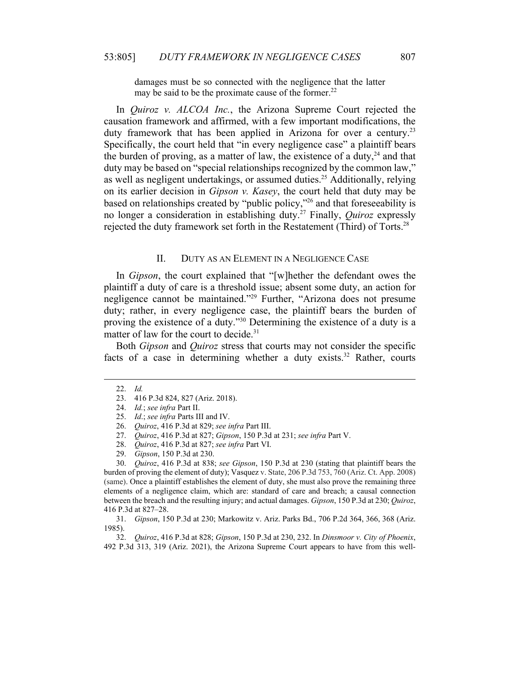damages must be so connected with the negligence that the latter may be said to be the proximate cause of the former. $^{22}$ 

In *Quiroz v. ALCOA Inc.*, the Arizona Supreme Court rejected the causation framework and affirmed, with a few important modifications, the duty framework that has been applied in Arizona for over a century.<sup>23</sup> Specifically, the court held that "in every negligence case" a plaintiff bears the burden of proving, as a matter of law, the existence of a duty,  $24$  and that duty may be based on "special relationships recognized by the common law," as well as negligent undertakings, or assumed duties.<sup>25</sup> Additionally, relying on its earlier decision in *Gipson v. Kasey*, the court held that duty may be based on relationships created by "public policy,"26 and that foreseeability is no longer a consideration in establishing duty.27 Finally, *Quiroz* expressly rejected the duty framework set forth in the Restatement (Third) of Torts.<sup>28</sup>

## II. DUTY AS AN ELEMENT IN A NEGLIGENCE CASE

In *Gipson*, the court explained that "[w]hether the defendant owes the plaintiff a duty of care is a threshold issue; absent some duty, an action for negligence cannot be maintained."29 Further, "Arizona does not presume duty; rather, in every negligence case, the plaintiff bears the burden of proving the existence of a duty."30 Determining the existence of a duty is a matter of law for the court to decide.<sup>31</sup>

Both *Gipson* and *Quiroz* stress that courts may not consider the specific facts of a case in determining whether a duty exists.<sup>32</sup> Rather, courts

 <sup>22.</sup> *Id.*

 <sup>23. 416</sup> P.3d 824, 827 (Ariz. 2018).

 <sup>24.</sup> *Id.*; *see infra* Part II.

 <sup>25.</sup> *Id*.; *see infra* Parts III and IV.

 <sup>26.</sup> *Quiroz*, 416 P.3d at 829; *see infra* Part III.

 <sup>27.</sup> *Quiroz*, 416 P.3d at 827; *Gipson*, 150 P.3d at 231; *see infra* Part V.

 <sup>28.</sup> *Quiroz*, 416 P.3d at 827; *see infra* Part VI.

 <sup>29.</sup> *Gipson*, 150 P.3d at 230.

 <sup>30.</sup> *Quiroz*, 416 P.3d at 838; *see Gipson*, 150 P.3d at 230 (stating that plaintiff bears the burden of proving the element of duty); Vasquez v. State, 206 P.3d 753, 760 (Ariz. Ct. App. 2008) (same). Once a plaintiff establishes the element of duty, she must also prove the remaining three elements of a negligence claim, which are: standard of care and breach; a causal connection between the breach and the resulting injury; and actual damages. *Gipson*, 150 P.3d at 230; *Quiroz*, 416 P.3d at 827–28.

 <sup>31.</sup> *Gipson*, 150 P.3d at 230; Markowitz v. Ariz. Parks Bd., 706 P.2d 364, 366, 368 (Ariz. 1985).

 <sup>32.</sup> *Quiroz*, 416 P.3d at 828; *Gipson*, 150 P.3d at 230, 232. In *Dinsmoor v. City of Phoenix*, 492 P.3d 313, 319 (Ariz. 2021), the Arizona Supreme Court appears to have from this well-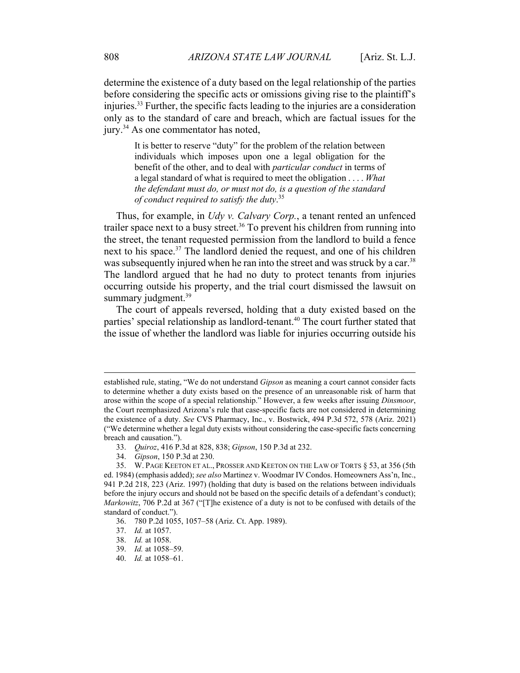determine the existence of a duty based on the legal relationship of the parties before considering the specific acts or omissions giving rise to the plaintiff's injuries.33 Further, the specific facts leading to the injuries are a consideration only as to the standard of care and breach, which are factual issues for the jury.<sup>34</sup> As one commentator has noted,

It is better to reserve "duty" for the problem of the relation between individuals which imposes upon one a legal obligation for the benefit of the other, and to deal with *particular conduct* in terms of a legal standard of what is required to meet the obligation . . . . *What the defendant must do, or must not do, is a question of the standard of conduct required to satisfy the duty*. 35

Thus, for example, in *Udy v. Calvary Corp.*, a tenant rented an unfenced trailer space next to a busy street.<sup>36</sup> To prevent his children from running into the street, the tenant requested permission from the landlord to build a fence next to his space.<sup>37</sup> The landlord denied the request, and one of his children was subsequently injured when he ran into the street and was struck by a car.<sup>38</sup> The landlord argued that he had no duty to protect tenants from injuries occurring outside his property, and the trial court dismissed the lawsuit on summary judgment.<sup>39</sup>

The court of appeals reversed, holding that a duty existed based on the parties' special relationship as landlord-tenant.<sup>40</sup> The court further stated that the issue of whether the landlord was liable for injuries occurring outside his

established rule, stating, "We do not understand *Gipson* as meaning a court cannot consider facts to determine whether a duty exists based on the presence of an unreasonable risk of harm that arose within the scope of a special relationship." However, a few weeks after issuing *Dinsmoor*, the Court reemphasized Arizona's rule that case-specific facts are not considered in determining the existence of a duty. *See* CVS Pharmacy, Inc., v. Bostwick, 494 P.3d 572, 578 (Ariz. 2021) ("We determine whether a legal duty exists without considering the case-specific facts concerning breach and causation.").

 <sup>33.</sup> *Quiroz*, 416 P.3d at 828, 838; *Gipson*, 150 P.3d at 232.

 <sup>34.</sup> *Gipson*, 150 P.3d at 230.

 <sup>35.</sup> W. PAGE KEETON ET AL., PROSSER AND KEETON ON THE LAW OF TORTS § 53, at 356 (5th ed. 1984) (emphasis added); *see also* Martinez v. Woodmar IV Condos. Homeowners Ass'n, Inc., 941 P.2d 218, 223 (Ariz. 1997) (holding that duty is based on the relations between individuals before the injury occurs and should not be based on the specific details of a defendant's conduct); *Markowitz*, 706 P.2d at 367 ("[T]he existence of a duty is not to be confused with details of the standard of conduct.").

 <sup>36. 780</sup> P.2d 1055, 1057–58 (Ariz. Ct. App. 1989).

 <sup>37.</sup> *Id.* at 1057.

 <sup>38.</sup> *Id.* at 1058.

 <sup>39.</sup> *Id.* at 1058–59.

 <sup>40.</sup> *Id.* at 1058–61.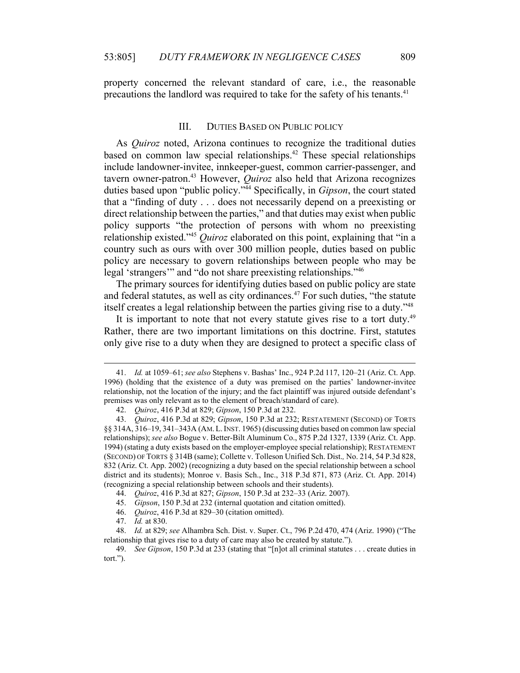property concerned the relevant standard of care, i.e., the reasonable precautions the landlord was required to take for the safety of his tenants.<sup>41</sup>

## III. DUTIES BASED ON PUBLIC POLICY

As *Quiroz* noted, Arizona continues to recognize the traditional duties based on common law special relationships.<sup>42</sup> These special relationships include landowner-invitee, innkeeper-guest, common carrier-passenger, and tavern owner-patron.43 However, *Quiroz* also held that Arizona recognizes duties based upon "public policy."44 Specifically, in *Gipson*, the court stated that a "finding of duty . . . does not necessarily depend on a preexisting or direct relationship between the parties," and that duties may exist when public policy supports "the protection of persons with whom no preexisting relationship existed."45 *Quiroz* elaborated on this point, explaining that "in a country such as ours with over 300 million people, duties based on public policy are necessary to govern relationships between people who may be legal 'strangers'" and "do not share preexisting relationships."46

The primary sources for identifying duties based on public policy are state and federal statutes, as well as city ordinances.<sup>47</sup> For such duties, "the statute itself creates a legal relationship between the parties giving rise to a duty."48

It is important to note that not every statute gives rise to a tort duty.<sup>49</sup> Rather, there are two important limitations on this doctrine. First, statutes only give rise to a duty when they are designed to protect a specific class of

44. *Quiroz*, 416 P.3d at 827; *Gipson*, 150 P.3d at 232–33 (Ariz. 2007).

 <sup>41.</sup> *Id.* at 1059–61; *see also* Stephens v. Bashas' Inc., 924 P.2d 117, 120–21 (Ariz. Ct. App. 1996) (holding that the existence of a duty was premised on the parties' landowner-invitee relationship, not the location of the injury; and the fact plaintiff was injured outside defendant's premises was only relevant as to the element of breach/standard of care).

 <sup>42.</sup> *Quiroz*, 416 P.3d at 829; *Gipson*, 150 P.3d at 232.

 <sup>43.</sup> *Quiroz*, 416 P.3d at 829; *Gipson*, 150 P.3d at 232; RESTATEMENT (SECOND) OF TORTS §§ 314A, 316–19, 341–343A (AM.L.INST. 1965) (discussing duties based on common law special relationships); *see also* Bogue v. Better-Bilt Aluminum Co., 875 P.2d 1327, 1339 (Ariz. Ct. App. 1994) (stating a duty exists based on the employer-employee special relationship); RESTATEMENT (SECOND) OF TORTS § 314B (same); Collette v. Tolleson Unified Sch. Dist.*,* No. 214, 54 P.3d 828, 832 (Ariz. Ct. App. 2002) (recognizing a duty based on the special relationship between a school district and its students); Monroe v. Basis Sch., Inc., 318 P.3d 871, 873 (Ariz. Ct. App. 2014) (recognizing a special relationship between schools and their students).

 <sup>45.</sup> *Gipson*, 150 P.3d at 232 (internal quotation and citation omitted).

 <sup>46.</sup> *Quiroz*, 416 P.3d at 829–30 (citation omitted).

 <sup>47.</sup> *Id.* at 830.

 <sup>48.</sup> *Id.* at 829; *see* Alhambra Sch. Dist. v. Super. Ct., 796 P.2d 470, 474 (Ariz. 1990) ("The relationship that gives rise to a duty of care may also be created by statute.").

 <sup>49.</sup> *See Gipson*, 150 P.3d at 233 (stating that "[n]ot all criminal statutes . . . create duties in tort.").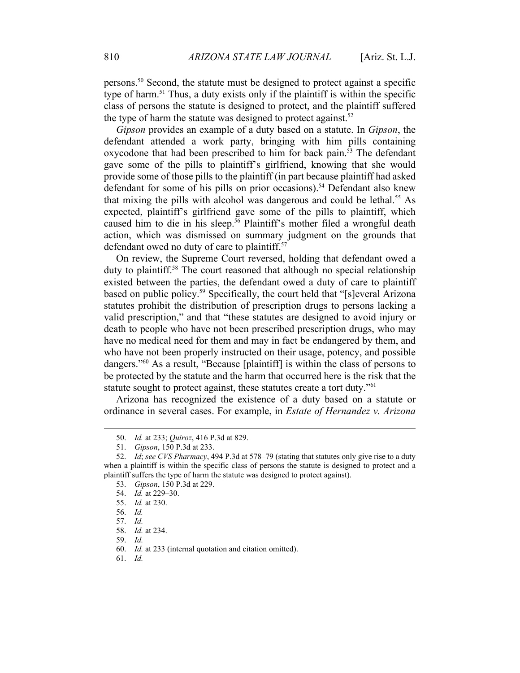persons.50 Second, the statute must be designed to protect against a specific type of harm.<sup>51</sup> Thus, a duty exists only if the plaintiff is within the specific class of persons the statute is designed to protect, and the plaintiff suffered the type of harm the statute was designed to protect against.<sup>52</sup>

*Gipson* provides an example of a duty based on a statute. In *Gipson*, the defendant attended a work party, bringing with him pills containing oxycodone that had been prescribed to him for back pain.<sup>53</sup> The defendant gave some of the pills to plaintiff's girlfriend, knowing that she would provide some of those pills to the plaintiff (in part because plaintiff had asked defendant for some of his pills on prior occasions).<sup>54</sup> Defendant also knew that mixing the pills with alcohol was dangerous and could be lethal.<sup>55</sup> As expected, plaintiff's girlfriend gave some of the pills to plaintiff, which caused him to die in his sleep.<sup>56</sup> Plaintiff's mother filed a wrongful death action, which was dismissed on summary judgment on the grounds that defendant owed no duty of care to plaintiff.<sup>57</sup>

On review, the Supreme Court reversed, holding that defendant owed a duty to plaintiff.58 The court reasoned that although no special relationship existed between the parties, the defendant owed a duty of care to plaintiff based on public policy.59 Specifically, the court held that "[s]everal Arizona statutes prohibit the distribution of prescription drugs to persons lacking a valid prescription," and that "these statutes are designed to avoid injury or death to people who have not been prescribed prescription drugs, who may have no medical need for them and may in fact be endangered by them, and who have not been properly instructed on their usage, potency, and possible dangers."60 As a result, "Because [plaintiff] is within the class of persons to be protected by the statute and the harm that occurred here is the risk that the statute sought to protect against, these statutes create a tort duty."<sup>61</sup>

Arizona has recognized the existence of a duty based on a statute or ordinance in several cases. For example, in *Estate of Hernandez v. Arizona* 

 <sup>50.</sup> *Id.* at 233; *Quiroz*, 416 P.3d at 829.

 <sup>51.</sup> *Gipson*, 150 P.3d at 233.

 <sup>52.</sup> *Id*; *see CVS Pharmacy*, 494 P.3d at 578–79 (stating that statutes only give rise to a duty when a plaintiff is within the specific class of persons the statute is designed to protect and a plaintiff suffers the type of harm the statute was designed to protect against).

 <sup>53.</sup> *Gipson*, 150 P.3d at 229.

 <sup>54.</sup> *Id.* at 229–30.

 <sup>55.</sup> *Id.* at 230.

 <sup>56.</sup> *Id.*

 <sup>57.</sup> *Id.*

 <sup>58.</sup> *Id.* at 234.

 <sup>59.</sup> *Id.*

 <sup>60.</sup> *Id.* at 233 (internal quotation and citation omitted).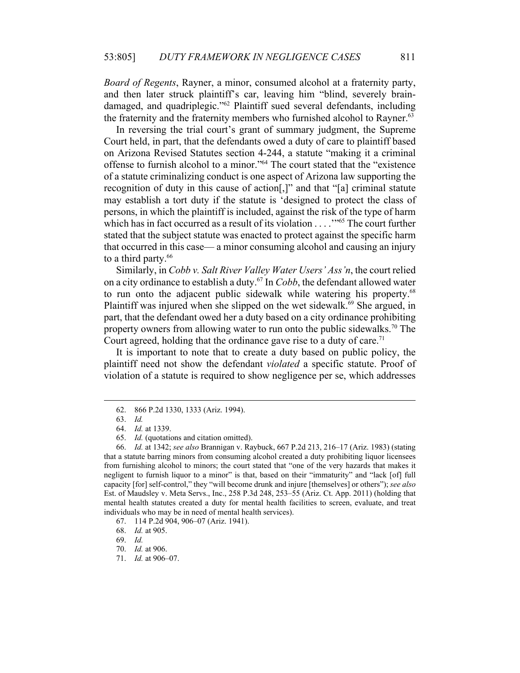*Board of Regents*, Rayner, a minor, consumed alcohol at a fraternity party, and then later struck plaintiff's car, leaving him "blind, severely braindamaged, and quadriplegic."<sup>62</sup> Plaintiff sued several defendants, including the fraternity and the fraternity members who furnished alcohol to Rayner.<sup>63</sup>

In reversing the trial court's grant of summary judgment, the Supreme Court held, in part, that the defendants owed a duty of care to plaintiff based on Arizona Revised Statutes section 4-244, a statute "making it a criminal offense to furnish alcohol to a minor."64 The court stated that the "existence of a statute criminalizing conduct is one aspect of Arizona law supporting the recognition of duty in this cause of action[,]" and that "[a] criminal statute may establish a tort duty if the statute is 'designed to protect the class of persons, in which the plaintiff is included, against the risk of the type of harm which has in fact occurred as a result of its violation . . . . "<sup>65</sup> The court further stated that the subject statute was enacted to protect against the specific harm that occurred in this case— a minor consuming alcohol and causing an injury to a third party.<sup>66</sup>

Similarly, in *Cobb v. Salt River Valley Water Users' Ass'n*, the court relied on a city ordinance to establish a duty.67 In *Cobb*, the defendant allowed water to run onto the adjacent public sidewalk while watering his property.<sup>68</sup> Plaintiff was injured when she slipped on the wet sidewalk.<sup>69</sup> She argued, in part, that the defendant owed her a duty based on a city ordinance prohibiting property owners from allowing water to run onto the public sidewalks.<sup>70</sup> The Court agreed, holding that the ordinance gave rise to a duty of care.<sup>71</sup>

It is important to note that to create a duty based on public policy, the plaintiff need not show the defendant *violated* a specific statute. Proof of violation of a statute is required to show negligence per se, which addresses

 <sup>62. 866</sup> P.2d 1330, 1333 (Ariz. 1994).

 <sup>63.</sup> *Id.*

 <sup>64.</sup> *Id.* at 1339.

 <sup>65.</sup> *Id.* (quotations and citation omitted).

 <sup>66.</sup> *Id.* at 1342; *see also* Brannigan v. Raybuck, 667 P.2d 213, 216–17 (Ariz. 1983) (stating that a statute barring minors from consuming alcohol created a duty prohibiting liquor licensees from furnishing alcohol to minors; the court stated that "one of the very hazards that makes it negligent to furnish liquor to a minor" is that, based on their "immaturity" and "lack [of] full capacity [for] self-control," they "will become drunk and injure [themselves] or others"); *see also* Est. of Maudsley v. Meta Servs., Inc., 258 P.3d 248, 253–55 (Ariz. Ct. App. 2011) (holding that mental health statutes created a duty for mental health facilities to screen, evaluate, and treat individuals who may be in need of mental health services).

 <sup>67. 114</sup> P.2d 904, 906–07 (Ariz. 1941).

 <sup>68.</sup> *Id.* at 905.

 <sup>69.</sup> *Id.*

 <sup>70.</sup> *Id.* at 906.

 <sup>71.</sup> *Id.* at 906–07.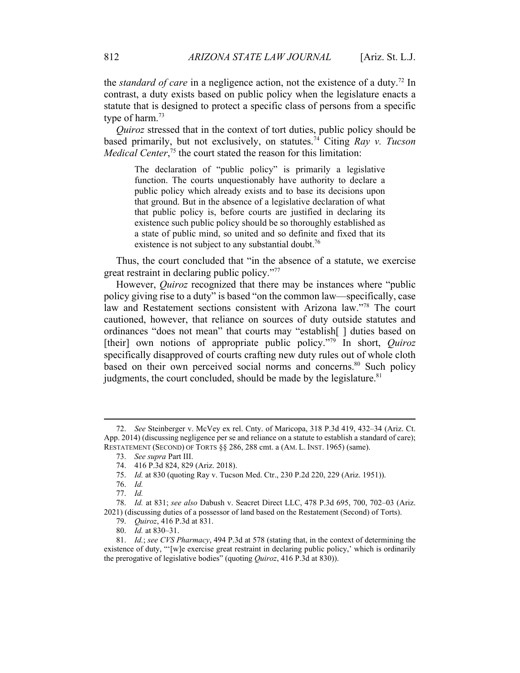the *standard of care* in a negligence action, not the existence of a duty.<sup>72</sup> In contrast, a duty exists based on public policy when the legislature enacts a statute that is designed to protect a specific class of persons from a specific type of harm. $73$ 

*Quiroz* stressed that in the context of tort duties, public policy should be based primarily, but not exclusively, on statutes.74 Citing *Ray v. Tucson Medical Center*<sup>, 75</sup> the court stated the reason for this limitation:

The declaration of "public policy" is primarily a legislative function. The courts unquestionably have authority to declare a public policy which already exists and to base its decisions upon that ground. But in the absence of a legislative declaration of what that public policy is, before courts are justified in declaring its existence such public policy should be so thoroughly established as a state of public mind, so united and so definite and fixed that its existence is not subject to any substantial doubt.<sup>76</sup>

Thus, the court concluded that "in the absence of a statute, we exercise great restraint in declaring public policy."77

However, *Quiroz* recognized that there may be instances where "public policy giving rise to a duty" is based "on the common law—specifically, case law and Restatement sections consistent with Arizona law."78 The court cautioned, however, that reliance on sources of duty outside statutes and ordinances "does not mean" that courts may "establish[ ] duties based on [their] own notions of appropriate public policy."79 In short, *Quiroz*  specifically disapproved of courts crafting new duty rules out of whole cloth based on their own perceived social norms and concerns.<sup>80</sup> Such policy judgments, the court concluded, should be made by the legislature.<sup>81</sup>

 <sup>72.</sup> *See* Steinberger v. McVey ex rel. Cnty. of Maricopa, 318 P.3d 419, 432–34 (Ariz. Ct. App. 2014) (discussing negligence per se and reliance on a statute to establish a standard of care); RESTATEMENT (SECOND) OF TORTS §§ 286, 288 cmt. a (AM. L. INST. 1965) (same).

 <sup>73.</sup> *See supra* Part III.

 <sup>74. 416</sup> P.3d 824, 829 (Ariz. 2018).

 <sup>75.</sup> *Id.* at 830 (quoting Ray v. Tucson Med. Ctr., 230 P.2d 220, 229 (Ariz. 1951)).

 <sup>76.</sup> *Id.*

 <sup>77.</sup> *Id.*

 <sup>78.</sup> *Id.* at 831; *see also* Dabush v. Seacret Direct LLC, 478 P.3d 695, 700, 702–03 (Ariz. 2021) (discussing duties of a possessor of land based on the Restatement (Second) of Torts).

 <sup>79.</sup> *Quiroz*, 416 P.3d at 831.

 <sup>80.</sup> *Id.* at 830–31.

 <sup>81.</sup> *Id.*; *see CVS Pharmacy*, 494 P.3d at 578 (stating that, in the context of determining the existence of duty, "'[w]e exercise great restraint in declaring public policy,' which is ordinarily the prerogative of legislative bodies" (quoting *Quiroz*, 416 P.3d at 830)).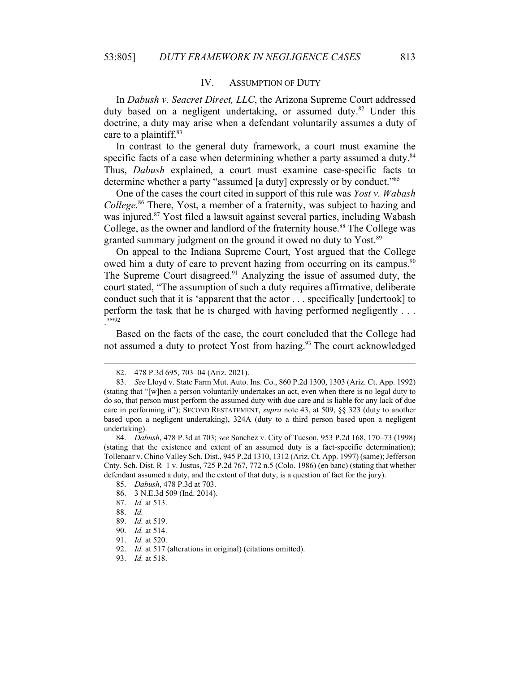#### IV. ASSUMPTION OF DUTY

In *Dabush v. Seacret Direct, LLC*, the Arizona Supreme Court addressed duty based on a negligent undertaking, or assumed duty.<sup>82</sup> Under this doctrine, a duty may arise when a defendant voluntarily assumes a duty of care to a plaintiff.<sup>83</sup>

In contrast to the general duty framework, a court must examine the specific facts of a case when determining whether a party assumed a duty.<sup>84</sup> Thus, *Dabush* explained, a court must examine case-specific facts to determine whether a party "assumed [a duty] expressly or by conduct."85

One of the cases the court cited in support of this rule was *Yost v. Wabash College.*86 There, Yost, a member of a fraternity, was subject to hazing and was injured.<sup>87</sup> Yost filed a lawsuit against several parties, including Wabash College, as the owner and landlord of the fraternity house.<sup>88</sup> The College was granted summary judgment on the ground it owed no duty to Yost.<sup>89</sup>

On appeal to the Indiana Supreme Court, Yost argued that the College owed him a duty of care to prevent hazing from occurring on its campus.<sup>90</sup> The Supreme Court disagreed.<sup>91</sup> Analyzing the issue of assumed duty, the court stated, "The assumption of such a duty requires affirmative, deliberate conduct such that it is 'apparent that the actor . . . specifically [undertook] to perform the task that he is charged with having performed negligently . . . ."<sup>92</sup>

Based on the facts of the case, the court concluded that the College had not assumed a duty to protect Yost from hazing.<sup>93</sup> The court acknowledged

 <sup>82. 478</sup> P.3d 695, 703–04 (Ariz. 2021).

 <sup>83.</sup> *See* Lloyd v. State Farm Mut. Auto. Ins. Co., 860 P.2d 1300, 1303 (Ariz. Ct. App. 1992) (stating that "[w]hen a person voluntarily undertakes an act, even when there is no legal duty to do so, that person must perform the assumed duty with due care and is liable for any lack of due care in performing it"); SECOND RESTATEMENT, *supra* note 43, at 509, §§ 323 (duty to another based upon a negligent undertaking), 324A (duty to a third person based upon a negligent undertaking).

 <sup>84.</sup> *Dabush*, 478 P.3d at 703; *see* Sanchez v. City of Tucson, 953 P.2d 168, 170–73 (1998) (stating that the existence and extent of an assumed duty is a fact-specific determination); Tollenaar v. Chino Valley Sch. Dist., 945 P.2d 1310, 1312 (Ariz. Ct. App. 1997) (same); Jefferson Cnty. Sch. Dist. R–1 v. Justus, 725 P.2d 767, 772 n.5 (Colo. 1986) (en banc) (stating that whether defendant assumed a duty, and the extent of that duty, is a question of fact for the jury).

 <sup>85.</sup> *Dabush*, 478 P.3d at 703.

 <sup>86. 3</sup> N.E.3d 509 (Ind. 2014).

 <sup>87.</sup> *Id.* at 513.

 <sup>88.</sup> *Id.*

 <sup>89.</sup> *Id.* at 519.

 <sup>90.</sup> *Id.* at 514.

 <sup>91.</sup> *Id.* at 520.

 <sup>92.</sup> *Id.* at 517 (alterations in original) (citations omitted).

 <sup>93.</sup> *Id.* at 518.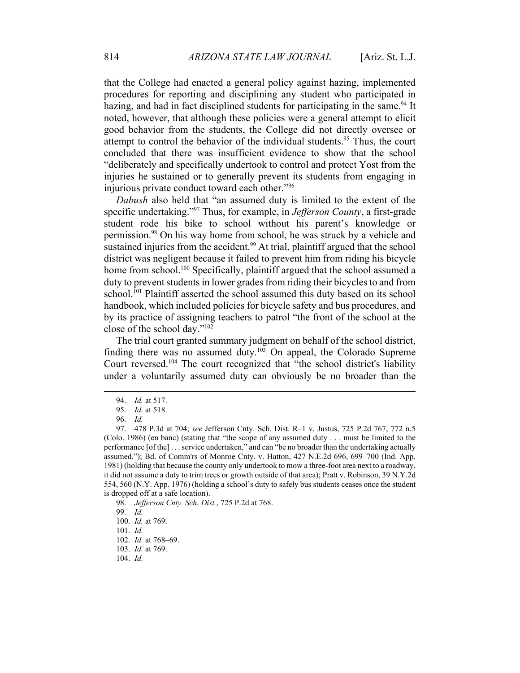that the College had enacted a general policy against hazing, implemented procedures for reporting and disciplining any student who participated in hazing, and had in fact disciplined students for participating in the same.<sup>94</sup> It noted, however, that although these policies were a general attempt to elicit good behavior from the students, the College did not directly oversee or attempt to control the behavior of the individual students.<sup>95</sup> Thus, the court concluded that there was insufficient evidence to show that the school "deliberately and specifically undertook to control and protect Yost from the injuries he sustained or to generally prevent its students from engaging in injurious private conduct toward each other."96

*Dabush* also held that "an assumed duty is limited to the extent of the specific undertaking."97 Thus, for example, in *Jefferson County*, a first-grade student rode his bike to school without his parent's knowledge or permission.98 On his way home from school, he was struck by a vehicle and sustained injuries from the accident.<sup>99</sup> At trial, plaintiff argued that the school district was negligent because it failed to prevent him from riding his bicycle home from school.<sup>100</sup> Specifically, plaintiff argued that the school assumed a duty to prevent students in lower grades from riding their bicycles to and from school.<sup>101</sup> Plaintiff asserted the school assumed this duty based on its school handbook, which included policies for bicycle safety and bus procedures, and by its practice of assigning teachers to patrol "the front of the school at the close of the school day."102

The trial court granted summary judgment on behalf of the school district, finding there was no assumed duty. $103$  On appeal, the Colorado Supreme Court reversed.<sup>104</sup> The court recognized that "the school district's liability under a voluntarily assumed duty can obviously be no broader than the

 <sup>94.</sup> *Id.* at 517.

 <sup>95.</sup> *Id.* at 518.

 <sup>96.</sup> *Id.*

 <sup>97. 478</sup> P.3d at 704; *see* Jefferson Cnty. Sch. Dist. R–1 v. Justus, 725 P.2d 767, 772 n.5 (Colo. 1986) (en banc) (stating that "the scope of any assumed duty . . . must be limited to the performance [of the] . . . service undertaken," and can "be no broader than the undertaking actually assumed."); Bd. of Comm'rs of Monroe Cnty. v. Hatton, 427 N.E.2d 696, 699–700 (Ind. App. 1981) (holding that because the county only undertook to mow a three-foot area next to a roadway, it did not assume a duty to trim trees or growth outside of that area); Pratt v. Robinson, 39 N.Y.2d 554, 560 (N.Y. App. 1976) (holding a school's duty to safely bus students ceases once the student is dropped off at a safe location).

 <sup>98.</sup> *Jefferson Cnty. Sch. Dist.*, 725 P.2d at 768.

 <sup>99.</sup> *Id.*

 <sup>100.</sup> *Id.* at 769.

 <sup>101.</sup> *Id.*

 <sup>102.</sup> *Id.* at 768–69.

 <sup>103.</sup> *Id.* at 769.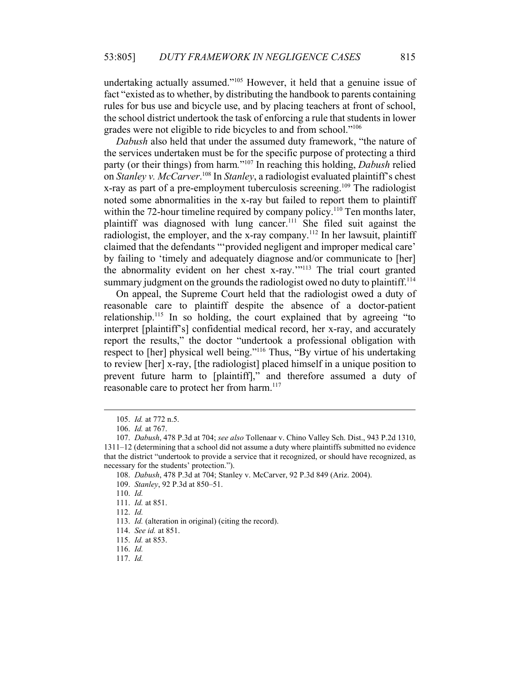undertaking actually assumed."<sup>105</sup> However, it held that a genuine issue of fact "existed as to whether, by distributing the handbook to parents containing rules for bus use and bicycle use, and by placing teachers at front of school, the school district undertook the task of enforcing a rule that students in lower grades were not eligible to ride bicycles to and from school."106

*Dabush* also held that under the assumed duty framework, "the nature of the services undertaken must be for the specific purpose of protecting a third party (or their things) from harm*.*"107 In reaching this holding, *Dabush* relied on *Stanley v. McCarver*. 108 In *Stanley*, a radiologist evaluated plaintiff's chest x-ray as part of a pre-employment tuberculosis screening.<sup>109</sup> The radiologist noted some abnormalities in the x-ray but failed to report them to plaintiff within the 72-hour timeline required by company policy.<sup>110</sup> Ten months later, plaintiff was diagnosed with lung cancer.<sup>111</sup> She filed suit against the radiologist, the employer, and the x-ray company.<sup>112</sup> In her lawsuit, plaintiff claimed that the defendants "'provided negligent and improper medical care' by failing to 'timely and adequately diagnose and/or communicate to [her] the abnormality evident on her chest x-ray.'"113 The trial court granted summary judgment on the grounds the radiologist owed no duty to plaintiff.<sup>114</sup>

On appeal, the Supreme Court held that the radiologist owed a duty of reasonable care to plaintiff despite the absence of a doctor-patient relationship.<sup>115</sup> In so holding, the court explained that by agreeing "to interpret [plaintiff's] confidential medical record, her x-ray, and accurately report the results," the doctor "undertook a professional obligation with respect to [her] physical well being."116 Thus, "By virtue of his undertaking to review [her] x-ray, [the radiologist] placed himself in a unique position to prevent future harm to [plaintiff]," and therefore assumed a duty of reasonable care to protect her from harm.<sup>117</sup>

110. *Id.*

 <sup>105.</sup> *Id.* at 772 n.5.

 <sup>106.</sup> *Id.* at 767.

 <sup>107.</sup> *Dabush*, 478 P.3d at 704; *see also* Tollenaar v. Chino Valley Sch. Dist., 943 P.2d 1310, 1311–12 (determining that a school did not assume a duty where plaintiffs submitted no evidence that the district "undertook to provide a service that it recognized, or should have recognized, as necessary for the students' protection.").

 <sup>108.</sup> *Dabush*, 478 P.3d at 704; Stanley v. McCarver, 92 P.3d 849 (Ariz. 2004).

 <sup>109.</sup> *Stanley*, 92 P.3d at 850–51.

 <sup>111.</sup> *Id.* at 851.

 <sup>112.</sup> *Id.*

 <sup>113.</sup> *Id.* (alteration in original) (citing the record).

 <sup>114.</sup> *See id.* at 851.

 <sup>115.</sup> *Id.* at 853.

 <sup>116.</sup> *Id.*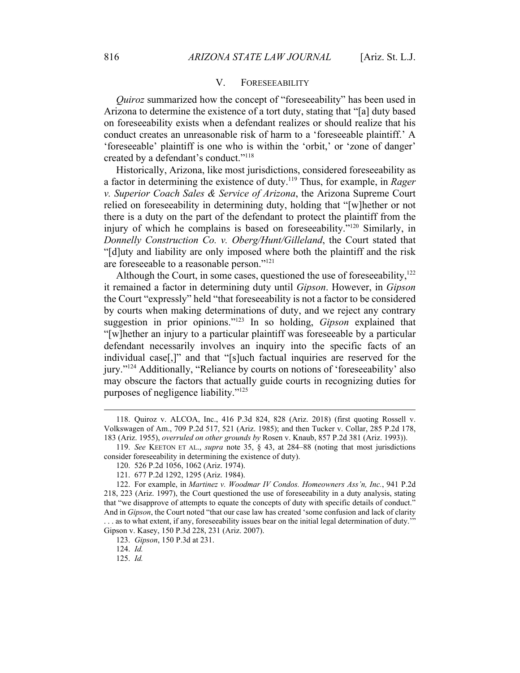## V. FORESEEABILITY

*Quiroz* summarized how the concept of "foreseeability" has been used in Arizona to determine the existence of a tort duty, stating that "[a] duty based on foreseeability exists when a defendant realizes or should realize that his conduct creates an unreasonable risk of harm to a 'foreseeable plaintiff.' A 'foreseeable' plaintiff is one who is within the 'orbit,' or 'zone of danger' created by a defendant's conduct."<sup>118</sup>

Historically, Arizona, like most jurisdictions, considered foreseeability as a factor in determining the existence of duty.119 Thus, for example, in *Rager v. Superior Coach Sales & Service of Arizona*, the Arizona Supreme Court relied on foreseeability in determining duty, holding that "[w]hether or not there is a duty on the part of the defendant to protect the plaintiff from the injury of which he complains is based on foreseeability."120 Similarly, in *Donnelly Construction Co. v. Oberg/Hunt/Gilleland*, the Court stated that "[d]uty and liability are only imposed where both the plaintiff and the risk are foreseeable to a reasonable person."121

Although the Court, in some cases, questioned the use of foreseeability, $122$ it remained a factor in determining duty until *Gipson*. However, in *Gipson* the Court "expressly" held "that foreseeability is not a factor to be considered by courts when making determinations of duty, and we reject any contrary suggestion in prior opinions."123 In so holding, *Gipson* explained that "[w]hether an injury to a particular plaintiff was foreseeable by a particular defendant necessarily involves an inquiry into the specific facts of an individual case[,]" and that "[s]uch factual inquiries are reserved for the jury."124 Additionally, "Reliance by courts on notions of 'foreseeability' also may obscure the factors that actually guide courts in recognizing duties for purposes of negligence liability."125

 <sup>118.</sup> Quiroz v. ALCOA, Inc., 416 P.3d 824, 828 (Ariz. 2018) (first quoting Rossell v. Volkswagen of Am., 709 P.2d 517, 521 (Ariz. 1985); and then Tucker v. Collar, 285 P.2d 178, 183 (Ariz. 1955), *overruled on other grounds by* Rosen v. Knaub, 857 P.2d 381 (Ariz. 1993)).

 <sup>119.</sup> *See* KEETON ET AL., *supra* note 35, § 43, at 284–88 (noting that most jurisdictions consider foreseeability in determining the existence of duty).

 <sup>120. 526</sup> P.2d 1056, 1062 (Ariz. 1974).

 <sup>121. 677</sup> P.2d 1292, 1295 (Ariz. 1984).

 <sup>122.</sup> For example, in *Martinez v. Woodmar IV Condos. Homeowners Ass'n, Inc.*, 941 P.2d 218, 223 (Ariz. 1997), the Court questioned the use of foreseeability in a duty analysis, stating that "we disapprove of attempts to equate the concepts of duty with specific details of conduct." And in *Gipson*, the Court noted "that our case law has created 'some confusion and lack of clarity . . . as to what extent, if any, foreseeability issues bear on the initial legal determination of duty.'" Gipson v. Kasey, 150 P.3d 228, 231 (Ariz. 2007).

 <sup>123.</sup> *Gipson*, 150 P.3d at 231.

 <sup>124.</sup> *Id.*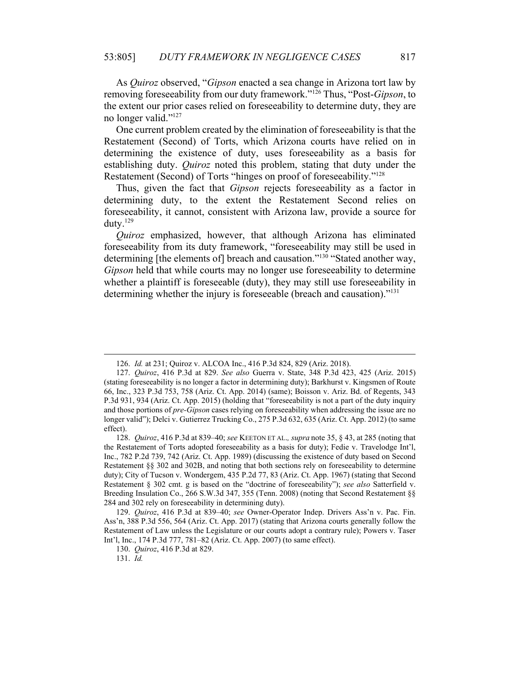As *Quiroz* observed, "*Gipson* enacted a sea change in Arizona tort law by removing foreseeability from our duty framework."126 Thus, "Post-*Gipson*, to the extent our prior cases relied on foreseeability to determine duty, they are no longer valid."127

One current problem created by the elimination of foreseeability is that the Restatement (Second) of Torts, which Arizona courts have relied on in determining the existence of duty, uses foreseeability as a basis for establishing duty. *Quiroz* noted this problem, stating that duty under the Restatement (Second) of Torts "hinges on proof of foreseeability."128

Thus, given the fact that *Gipson* rejects foreseeability as a factor in determining duty, to the extent the Restatement Second relies on foreseeability, it cannot, consistent with Arizona law, provide a source for duty.129

*Quiroz* emphasized, however, that although Arizona has eliminated foreseeability from its duty framework, "foreseeability may still be used in determining [the elements of] breach and causation."<sup>130</sup> "Stated another way, *Gipson* held that while courts may no longer use foreseeability to determine whether a plaintiff is foreseeable (duty), they may still use foreseeability in determining whether the injury is foreseeable (breach and causation)."131

 <sup>126.</sup> *Id.* at 231; Quiroz v. ALCOA Inc., 416 P.3d 824, 829 (Ariz. 2018).

 <sup>127.</sup> *Quiroz*, 416 P.3d at 829. *See also* Guerra v. State, 348 P.3d 423, 425 (Ariz. 2015) (stating foreseeability is no longer a factor in determining duty); Barkhurst v. Kingsmen of Route 66, Inc., 323 P.3d 753, 758 (Ariz. Ct. App. 2014) (same); Boisson v. Ariz. Bd. of Regents, 343 P.3d 931, 934 (Ariz. Ct. App. 2015) (holding that "foreseeability is not a part of the duty inquiry and those portions of *pre-Gipson* cases relying on foreseeability when addressing the issue are no longer valid"); Delci v. Gutierrez Trucking Co., 275 P.3d 632, 635 (Ariz. Ct. App. 2012) (to same effect).

 <sup>128.</sup> *Quiroz*, 416 P.3d at 839–40; *see* KEETON ET AL.*, supra* note 35, § 43, at 285 (noting that the Restatement of Torts adopted foreseeability as a basis for duty); Fedie v. Travelodge Int'l, Inc., 782 P.2d 739, 742 (Ariz. Ct. App. 1989) (discussing the existence of duty based on Second Restatement §§ 302 and 302B, and noting that both sections rely on foreseeability to determine duty); City of Tucson v. Wondergem, 435 P.2d 77, 83 (Ariz. Ct. App. 1967) (stating that Second Restatement § 302 cmt. g is based on the "doctrine of foreseeability"); *see also* Satterfield v. Breeding Insulation Co., 266 S.W.3d 347, 355 (Tenn. 2008) (noting that Second Restatement §§ 284 and 302 rely on foreseeability in determining duty).

 <sup>129.</sup> *Quiroz*, 416 P.3d at 839–40; *see* Owner-Operator Indep. Drivers Ass'n v. Pac. Fin. Ass'n, 388 P.3d 556, 564 (Ariz. Ct. App. 2017) (stating that Arizona courts generally follow the Restatement of Law unless the Legislature or our courts adopt a contrary rule); Powers v. Taser Int'l, Inc., 174 P.3d 777, 781–82 (Ariz. Ct. App. 2007) (to same effect).

 <sup>130.</sup> *Quiroz*, 416 P.3d at 829.

 <sup>131.</sup> *Id.*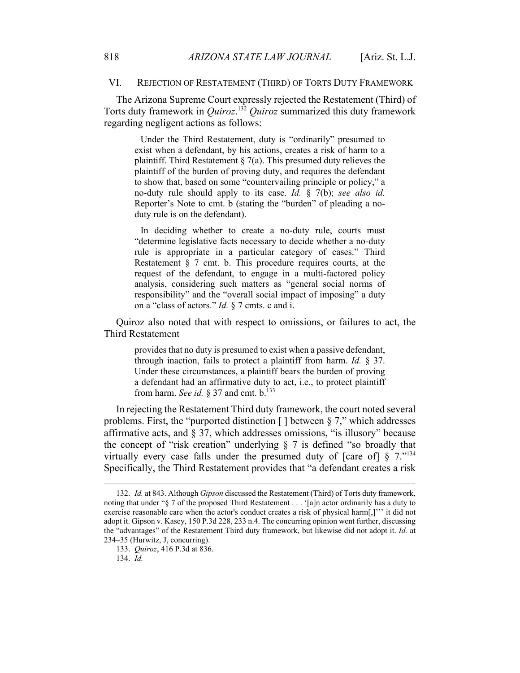## VI. REJECTION OF RESTATEMENT (THIRD) OF TORTS DUTY FRAMEWORK

The Arizona Supreme Court expressly rejected the Restatement (Third) of Torts duty framework in *Quiroz*. <sup>132</sup> *Quiroz* summarized this duty framework regarding negligent actions as follows:

 Under the Third Restatement, duty is "ordinarily" presumed to exist when a defendant, by his actions, creates a risk of harm to a plaintiff. Third Restatement  $\S$  7(a). This presumed duty relieves the plaintiff of the burden of proving duty, and requires the defendant to show that, based on some "countervailing principle or policy," a no-duty rule should apply to its case. *Id.* § 7(b); *see also id.* Reporter's Note to cmt. b (stating the "burden" of pleading a noduty rule is on the defendant).

 In deciding whether to create a no-duty rule, courts must "determine legislative facts necessary to decide whether a no-duty rule is appropriate in a particular category of cases." Third Restatement § 7 cmt. b. This procedure requires courts, at the request of the defendant, to engage in a multi-factored policy analysis, considering such matters as "general social norms of responsibility" and the "overall social impact of imposing" a duty on a "class of actors." *Id.* § 7 cmts. c and i.

Quiroz also noted that with respect to omissions, or failures to act, the Third Restatement

provides that no duty is presumed to exist when a passive defendant, through inaction, fails to protect a plaintiff from harm. *Id.* § 37. Under these circumstances, a plaintiff bears the burden of proving a defendant had an affirmative duty to act, i.e., to protect plaintiff from harm. *See id.* § 37 and cmt.  $b$ .<sup>133</sup>

In rejecting the Restatement Third duty framework, the court noted several problems. First, the "purported distinction  $\lceil \cdot \rceil$  between § 7," which addresses affirmative acts, and § 37, which addresses omissions, "is illusory" because the concept of "risk creation" underlying  $\S$  7 is defined "so broadly that virtually every case falls under the presumed duty of [care of]  $\S 7.^{"134}$ Specifically, the Third Restatement provides that "a defendant creates a risk

 <sup>132.</sup> *Id.* at 843. Although *Gipson* discussed the Restatement (Third) of Torts duty framework, noting that under "§ 7 of the proposed Third Restatement . . . '[a]n actor ordinarily has a duty to exercise reasonable care when the actor's conduct creates a risk of physical harm[,]''' it did not adopt it. Gipson v. Kasey, 150 P.3d 228, 233 n.4. The concurring opinion went further, discussing the "advantages" of the Restatement Third duty framework, but likewise did not adopt it. *Id.* at 234–35 (Hurwitz, J, concurring).

 <sup>133.</sup> *Quiroz*, 416 P.3d at 836.

 <sup>134.</sup> *Id.*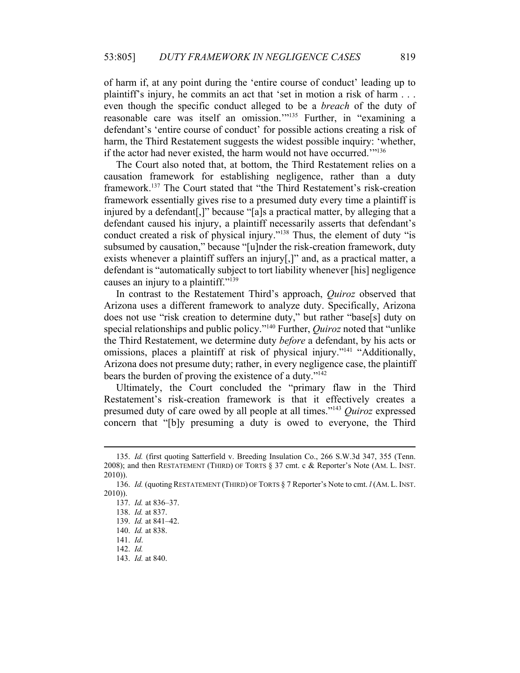of harm if, at any point during the 'entire course of conduct' leading up to plaintiff's injury, he commits an act that 'set in motion a risk of harm . . . even though the specific conduct alleged to be a *breach* of the duty of reasonable care was itself an omission."<sup>135</sup> Further, in "examining a defendant's 'entire course of conduct' for possible actions creating a risk of harm, the Third Restatement suggests the widest possible inquiry: 'whether, if the actor had never existed, the harm would not have occurred.'"136

The Court also noted that, at bottom, the Third Restatement relies on a causation framework for establishing negligence, rather than a duty framework.137 The Court stated that "the Third Restatement's risk-creation framework essentially gives rise to a presumed duty every time a plaintiff is injured by a defendant[,]" because "[a]s a practical matter, by alleging that a defendant caused his injury, a plaintiff necessarily asserts that defendant's conduct created a risk of physical injury."138 Thus, the element of duty "is subsumed by causation," because "[u]nder the risk-creation framework, duty exists whenever a plaintiff suffers an injury[,]" and, as a practical matter, a defendant is "automatically subject to tort liability whenever [his] negligence causes an injury to a plaintiff."139

In contrast to the Restatement Third's approach, *Quiroz* observed that Arizona uses a different framework to analyze duty. Specifically, Arizona does not use "risk creation to determine duty," but rather "base[s] duty on special relationships and public policy."140 Further, *Quiroz* noted that "unlike the Third Restatement, we determine duty *before* a defendant, by his acts or omissions, places a plaintiff at risk of physical injury."<sup>141</sup> "Additionally, Arizona does not presume duty; rather, in every negligence case, the plaintiff bears the burden of proving the existence of a duty."<sup>142</sup>

Ultimately, the Court concluded the "primary flaw in the Third Restatement's risk-creation framework is that it effectively creates a presumed duty of care owed by all people at all times."143 *Quiroz* expressed concern that "[b]y presuming a duty is owed to everyone, the Third

 <sup>135.</sup> *Id.* (first quoting Satterfield v. Breeding Insulation Co., 266 S.W.3d 347, 355 (Tenn. 2008); and then RESTATEMENT (THIRD) OF TORTS § 37 cmt. c & Reporter's Note (AM. L. INST. 2010)).

 <sup>136.</sup> *Id.* (quotingRESTATEMENT (THIRD) OF TORTS § 7 Reporter's Note to cmt. *l* (AM. L. INST. 2010)).

 <sup>137.</sup> *Id.* at 836–37.

 <sup>138.</sup> *Id.* at 837.

 <sup>139.</sup> *Id.* at 841–42.

 <sup>140.</sup> *Id.* at 838.

 <sup>141.</sup> *Id*.

 <sup>142.</sup> *Id.*

 <sup>143.</sup> *Id.* at 840.